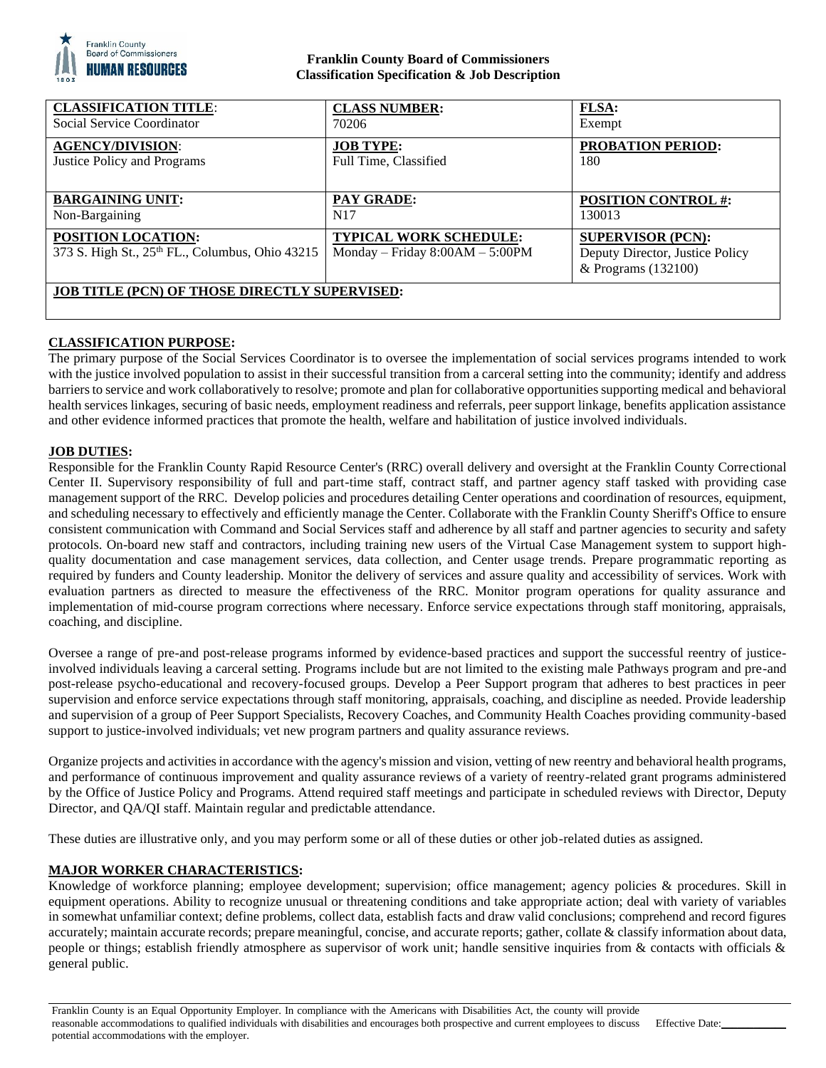

## **Franklin County Board of Commissioners Classification Specification & Job Description**

| <b>CLASSIFICATION TITLE:</b>                                                 | <b>CLASS NUMBER:</b>                                               | <b>FLSA:</b>                                                                       |
|------------------------------------------------------------------------------|--------------------------------------------------------------------|------------------------------------------------------------------------------------|
| Social Service Coordinator                                                   | 70206                                                              | Exempt                                                                             |
| <b>AGENCY/DIVISION:</b>                                                      | <b>JOB TYPE:</b>                                                   | <b>PROBATION PERIOD:</b>                                                           |
| Justice Policy and Programs                                                  | Full Time, Classified                                              | 180                                                                                |
| <b>BARGAINING UNIT:</b>                                                      | PAY GRADE:                                                         | <b>POSITION CONTROL #:</b>                                                         |
| Non-Bargaining                                                               | N17                                                                | 130013                                                                             |
| <b>POSITION LOCATION:</b><br>373 S. High St., 25th FL., Columbus, Ohio 43215 | <b>TYPICAL WORK SCHEDULE:</b><br>Monday – Friday $8:00AM - 5:00PM$ | <b>SUPERVISOR (PCN):</b><br>Deputy Director, Justice Policy<br>& Programs (132100) |
| <b>JOB TITLE (PCN) OF THOSE DIRECTLY SUPERVISED:</b>                         |                                                                    |                                                                                    |

# **CLASSIFICATION PURPOSE:**

The primary purpose of the Social Services Coordinator is to oversee the implementation of social services programs intended to work with the justice involved population to assist in their successful transition from a carceral setting into the community; identify and address barriers to service and work collaboratively to resolve; promote and plan for collaborative opportunities supporting medical and behavioral health services linkages, securing of basic needs, employment readiness and referrals, peer support linkage, benefits application assistance and other evidence informed practices that promote the health, welfare and habilitation of justice involved individuals.

# **JOB DUTIES:**

Responsible for the Franklin County Rapid Resource Center's (RRC) overall delivery and oversight at the Franklin County Correctional Center II. Supervisory responsibility of full and part-time staff, contract staff, and partner agency staff tasked with providing case management support of the RRC. Develop policies and procedures detailing Center operations and coordination of resources, equipment, and scheduling necessary to effectively and efficiently manage the Center. Collaborate with the Franklin County Sheriff's Office to ensure consistent communication with Command and Social Services staff and adherence by all staff and partner agencies to security and safety protocols. On-board new staff and contractors, including training new users of the Virtual Case Management system to support highquality documentation and case management services, data collection, and Center usage trends. Prepare programmatic reporting as required by funders and County leadership. Monitor the delivery of services and assure quality and accessibility of services. Work with evaluation partners as directed to measure the effectiveness of the RRC. Monitor program operations for quality assurance and implementation of mid-course program corrections where necessary. Enforce service expectations through staff monitoring, appraisals, coaching, and discipline.

Oversee a range of pre-and post-release programs informed by evidence-based practices and support the successful reentry of justiceinvolved individuals leaving a carceral setting. Programs include but are not limited to the existing male Pathways program and pre-and post-release psycho-educational and recovery-focused groups. Develop a Peer Support program that adheres to best practices in peer supervision and enforce service expectations through staff monitoring, appraisals, coaching, and discipline as needed. Provide leadership and supervision of a group of Peer Support Specialists, Recovery Coaches, and Community Health Coaches providing community-based support to justice-involved individuals; vet new program partners and quality assurance reviews.

Organize projects and activities in accordance with the agency's mission and vision, vetting of new reentry and behavioral health programs, and performance of continuous improvement and quality assurance reviews of a variety of reentry-related grant programs administered by the Office of Justice Policy and Programs. Attend required staff meetings and participate in scheduled reviews with Director, Deputy Director, and QA/QI staff. Maintain regular and predictable attendance.

These duties are illustrative only, and you may perform some or all of these duties or other job-related duties as assigned.

### **MAJOR WORKER CHARACTERISTICS:**

Knowledge of workforce planning; employee development; supervision; office management; agency policies & procedures. Skill in equipment operations. Ability to recognize unusual or threatening conditions and take appropriate action; deal with variety of variables in somewhat unfamiliar context; define problems, collect data, establish facts and draw valid conclusions; comprehend and record figures accurately; maintain accurate records; prepare meaningful, concise, and accurate reports; gather, collate & classify information about data, people or things; establish friendly atmosphere as supervisor of work unit; handle sensitive inquiries from & contacts with officials & general public.